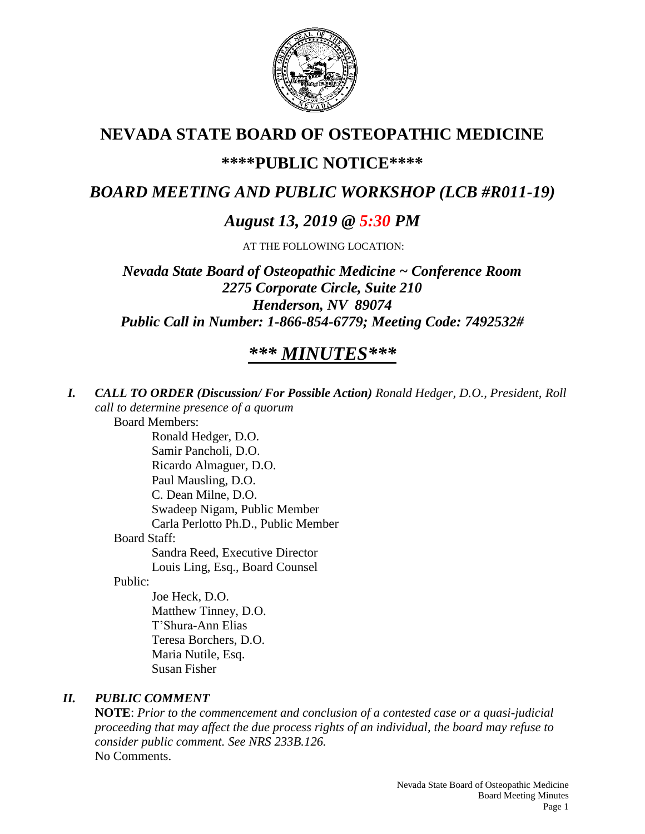

## **NEVADA STATE BOARD OF OSTEOPATHIC MEDICINE**

## **\*\*\*\*PUBLIC NOTICE\*\*\*\***

## *BOARD MEETING AND PUBLIC WORKSHOP (LCB #R011-19)*

## *August 13, 2019 @ 5:30 PM*

AT THE FOLLOWING LOCATION:

*Nevada State Board of Osteopathic Medicine ~ Conference Room 2275 Corporate Circle, Suite 210 Henderson, NV 89074 Public Call in Number: 1-866-854-6779; Meeting Code: 7492532#*

# *\*\*\* MINUTES\*\*\**

*I. CALL TO ORDER (Discussion/ For Possible Action) Ronald Hedger, D.O., President, Roll call to determine presence of a quorum* Board Members: Ronald Hedger, D.O. Samir Pancholi, D.O. Ricardo Almaguer, D.O. Paul Mausling, D.O. C. Dean Milne, D.O. Swadeep Nigam, Public Member Carla Perlotto Ph.D., Public Member Board Staff: Sandra Reed, Executive Director Louis Ling, Esq., Board Counsel Public: Joe Heck, D.O. Matthew Tinney, D.O. T'Shura-Ann Elias

Teresa Borchers, D.O. Maria Nutile, Esq. Susan Fisher

### *II. PUBLIC COMMENT*

**NOTE**: *Prior to the commencement and conclusion of a contested case or a quasi-judicial proceeding that may affect the due process rights of an individual, the board may refuse to consider public comment. See NRS 233B.126.* No Comments.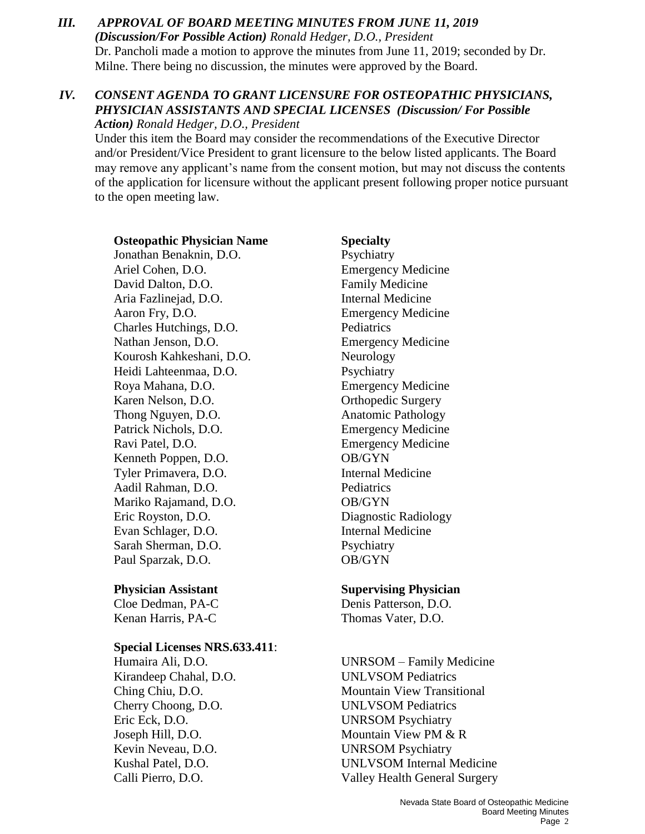*III. APPROVAL OF BOARD MEETING MINUTES FROM JUNE 11, 2019 (Discussion/For Possible Action) Ronald Hedger, D.O., President* Dr. Pancholi made a motion to approve the minutes from June 11, 2019; seconded by Dr. Milne. There being no discussion, the minutes were approved by the Board.

#### *IV. CONSENT AGENDA TO GRANT LICENSURE FOR OSTEOPATHIC PHYSICIANS, PHYSICIAN ASSISTANTS AND SPECIAL LICENSES (Discussion/ For Possible Action) Ronald Hedger, D.O., President*

Under this item the Board may consider the recommendations of the Executive Director and/or President/Vice President to grant licensure to the below listed applicants. The Board may remove any applicant's name from the consent motion, but may not discuss the contents of the application for licensure without the applicant present following proper notice pursuant to the open meeting law.

**Osteopathic Physician Name Specialty** Jonathan Benaknin, D.O. Psychiatry Ariel Cohen, D.O. Emergency Medicine David Dalton, D.O. **Family Medicine** Aria Fazlinejad, D.O. Internal Medicine Aaron Fry, D.O. Emergency Medicine Charles Hutchings, D.O. Pediatrics Nathan Jenson, D.O. Emergency Medicine Kourosh Kahkeshani, D.O. Neurology Heidi Lahteenmaa, D.O. Psychiatry Roya Mahana, D.O. Emergency Medicine Karen Nelson, D.O. **Orthopedic Surgery** Thong Nguyen, D.O. **Anatomic Pathology** Patrick Nichols, D.O. Emergency Medicine Ravi Patel, D.O. Emergency Medicine Kenneth Poppen, D.O. **OB/GYN** Tyler Primavera, D.O. Internal Medicine Aadil Rahman, D.O. Pediatrics Mariko Rajamand, D.O. **OB/GYN** Eric Royston, D.O. Diagnostic Radiology Evan Schlager, D.O. Internal Medicine Sarah Sherman, D.O. Psychiatry Paul Sparzak, D.O. **OB/GYN** 

Kenan Harris, PA-C Thomas Vater, D.O.

#### **Special Licenses NRS.633.411**:

Kirandeep Chahal, D.O. UNLVSOM Pediatrics Cherry Choong, D.O. UNLVSOM Pediatrics Eric Eck, D.O. UNRSOM Psychiatry Joseph Hill, D.O. Mountain View PM & R Kevin Neveau, D.O. UNRSOM Psychiatry

#### **Physician Assistant Supervising Physician**

Cloe Dedman, PA-C Denis Patterson, D.O.

Humaira Ali, D.O. UNRSOM – Family Medicine Ching Chiu, D.O. Mountain View Transitional Kushal Patel, D.O. UNLVSOM Internal Medicine Calli Pierro, D.O. Valley Health General Surgery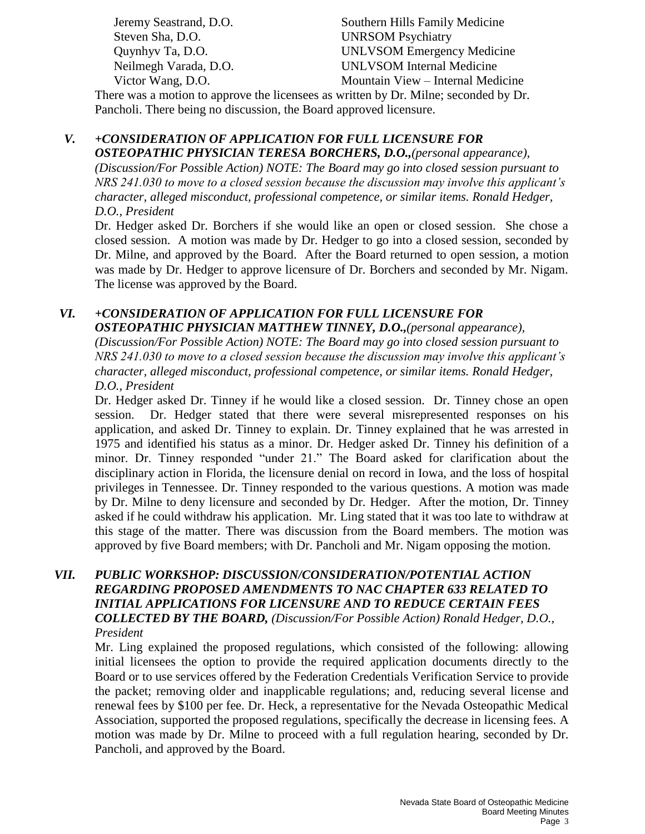Steven Sha, D.O. UNRSOM Psychiatry

Jeremy Seastrand, D.O. Southern Hills Family Medicine Quynhyv Ta, D.O. UNLVSOM Emergency Medicine Neilmegh Varada, D.O. UNLVSOM Internal Medicine Victor Wang, D.O. Mountain View – Internal Medicine

There was a motion to approve the licensees as written by Dr. Milne; seconded by Dr. Pancholi. There being no discussion, the Board approved licensure.

# *V. +CONSIDERATION OF APPLICATION FOR FULL LICENSURE FOR*

*OSTEOPATHIC PHYSICIAN TERESA BORCHERS, D.O.,(personal appearance), (Discussion/For Possible Action) NOTE: The Board may go into closed session pursuant to NRS 241.030 to move to a closed session because the discussion may involve this applicant's character, alleged misconduct, professional competence, or similar items. Ronald Hedger, D.O., President* 

Dr. Hedger asked Dr. Borchers if she would like an open or closed session. She chose a closed session. A motion was made by Dr. Hedger to go into a closed session, seconded by Dr. Milne, and approved by the Board. After the Board returned to open session, a motion was made by Dr. Hedger to approve licensure of Dr. Borchers and seconded by Mr. Nigam. The license was approved by the Board.

### *VI. +CONSIDERATION OF APPLICATION FOR FULL LICENSURE FOR*

*OSTEOPATHIC PHYSICIAN MATTHEW TINNEY, D.O.,(personal appearance), (Discussion/For Possible Action) NOTE: The Board may go into closed session pursuant to NRS 241.030 to move to a closed session because the discussion may involve this applicant's character, alleged misconduct, professional competence, or similar items. Ronald Hedger, D.O., President* 

Dr. Hedger asked Dr. Tinney if he would like a closed session. Dr. Tinney chose an open session. Dr. Hedger stated that there were several misrepresented responses on his application, and asked Dr. Tinney to explain. Dr. Tinney explained that he was arrested in 1975 and identified his status as a minor. Dr. Hedger asked Dr. Tinney his definition of a minor. Dr. Tinney responded "under 21." The Board asked for clarification about the disciplinary action in Florida, the licensure denial on record in Iowa, and the loss of hospital privileges in Tennessee. Dr. Tinney responded to the various questions. A motion was made by Dr. Milne to deny licensure and seconded by Dr. Hedger. After the motion, Dr. Tinney asked if he could withdraw his application. Mr. Ling stated that it was too late to withdraw at this stage of the matter. There was discussion from the Board members. The motion was approved by five Board members; with Dr. Pancholi and Mr. Nigam opposing the motion.

#### *VII. PUBLIC WORKSHOP: DISCUSSION/CONSIDERATION/POTENTIAL ACTION REGARDING PROPOSED AMENDMENTS TO NAC CHAPTER 633 RELATED TO INITIAL APPLICATIONS FOR LICENSURE AND TO REDUCE CERTAIN FEES COLLECTED BY THE BOARD, (Discussion/For Possible Action) Ronald Hedger, D.O., President*

Mr. Ling explained the proposed regulations, which consisted of the following: allowing initial licensees the option to provide the required application documents directly to the Board or to use services offered by the Federation Credentials Verification Service to provide the packet; removing older and inapplicable regulations; and, reducing several license and renewal fees by \$100 per fee. Dr. Heck, a representative for the Nevada Osteopathic Medical Association, supported the proposed regulations, specifically the decrease in licensing fees. A motion was made by Dr. Milne to proceed with a full regulation hearing, seconded by Dr. Pancholi, and approved by the Board.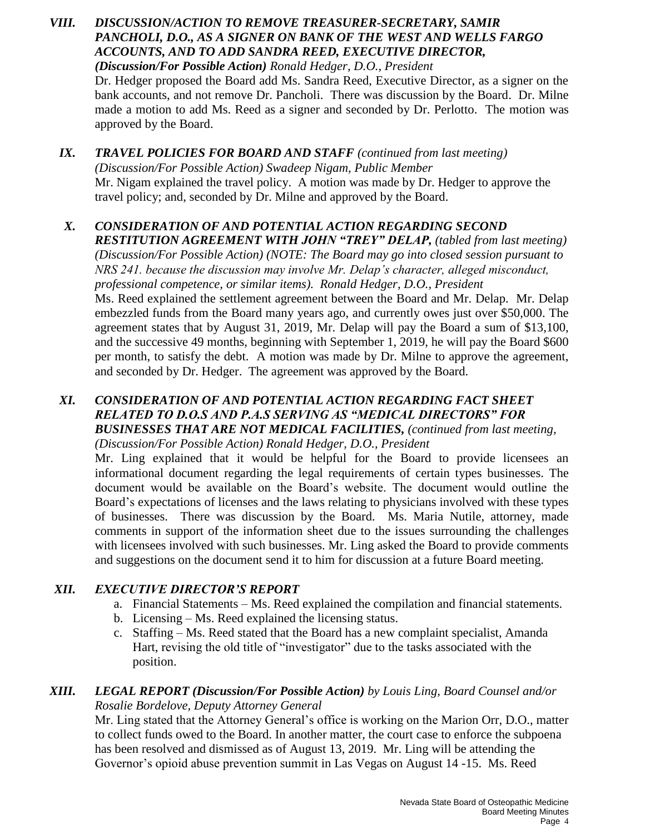- *VIII. DISCUSSION/ACTION TO REMOVE TREASURER-SECRETARY, SAMIR PANCHOLI, D.O., AS A SIGNER ON BANK OF THE WEST AND WELLS FARGO ACCOUNTS, AND TO ADD SANDRA REED, EXECUTIVE DIRECTOR, (Discussion/For Possible Action) Ronald Hedger, D.O., President*  Dr. Hedger proposed the Board add Ms. Sandra Reed, Executive Director, as a signer on the bank accounts, and not remove Dr. Pancholi. There was discussion by the Board. Dr. Milne made a motion to add Ms. Reed as a signer and seconded by Dr. Perlotto. The motion was approved by the Board.
	- *IX. TRAVEL POLICIES FOR BOARD AND STAFF (continued from last meeting) (Discussion/For Possible Action) Swadeep Nigam, Public Member* Mr. Nigam explained the travel policy. A motion was made by Dr. Hedger to approve the travel policy; and, seconded by Dr. Milne and approved by the Board.

# *X. CONSIDERATION OF AND POTENTIAL ACTION REGARDING SECOND*

*RESTITUTION AGREEMENT WITH JOHN "TREY" DELAP, (tabled from last meeting) (Discussion/For Possible Action) (NOTE: The Board may go into closed session pursuant to NRS 241. because the discussion may involve Mr. Delap's character, alleged misconduct, professional competence, or similar items). Ronald Hedger, D.O., President* Ms. Reed explained the settlement agreement between the Board and Mr. Delap. Mr. Delap embezzled funds from the Board many years ago, and currently owes just over \$50,000. The agreement states that by August 31, 2019, Mr. Delap will pay the Board a sum of \$13,100, and the successive 49 months, beginning with September 1, 2019, he will pay the Board \$600 per month, to satisfy the debt. A motion was made by Dr. Milne to approve the agreement, and seconded by Dr. Hedger. The agreement was approved by the Board.

#### *XI. CONSIDERATION OF AND POTENTIAL ACTION REGARDING FACT SHEET RELATED TO D.O.S AND P.A.S SERVING AS "MEDICAL DIRECTORS" FOR BUSINESSES THAT ARE NOT MEDICAL FACILITIES, (continued from last meeting,*

*(Discussion/For Possible Action) Ronald Hedger, D.O., President*

Mr. Ling explained that it would be helpful for the Board to provide licensees an informational document regarding the legal requirements of certain types businesses. The document would be available on the Board's website. The document would outline the Board's expectations of licenses and the laws relating to physicians involved with these types of businesses. There was discussion by the Board. Ms. Maria Nutile, attorney, made comments in support of the information sheet due to the issues surrounding the challenges with licensees involved with such businesses. Mr. Ling asked the Board to provide comments and suggestions on the document send it to him for discussion at a future Board meeting.

#### *XII. EXECUTIVE DIRECTOR'S REPORT*

- a. Financial Statements Ms. Reed explained the compilation and financial statements.
- b. Licensing Ms. Reed explained the licensing status.
- c. Staffing Ms. Reed stated that the Board has a new complaint specialist, Amanda Hart, revising the old title of "investigator" due to the tasks associated with the position.

#### *XIII. LEGAL REPORT (Discussion/For Possible Action) by Louis Ling, Board Counsel and/or Rosalie Bordelove, Deputy Attorney General*

Mr. Ling stated that the Attorney General's office is working on the Marion Orr, D.O., matter to collect funds owed to the Board. In another matter, the court case to enforce the subpoena has been resolved and dismissed as of August 13, 2019. Mr. Ling will be attending the Governor's opioid abuse prevention summit in Las Vegas on August 14 -15. Ms. Reed